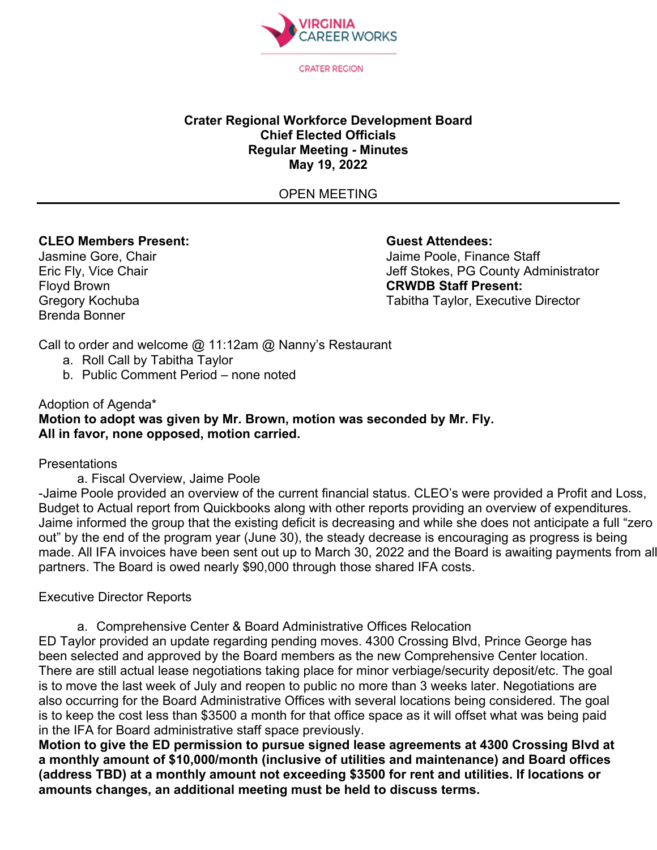

#### **Crater Regional Workforce Development Board Chief Elected Officials Regular Meeting - Minutes May 19, 2022**

OPEN MEETING

# **CLEO Members Present: Guest Attendees:**

Brenda Bonner

Jasmine Gore, Chair Jaime Poole, Finance Staff Eric Fly, Vice Chair **Jeff Stokes, PG County Administrator**<br>Floyd Brown **Jeff Stokes, PG County Administrator** Floyd Brown **CRWDB Staff Present:** Tabitha Taylor, Executive Director

Call to order and welcome @ 11:12am @ Nanny's Restaurant

- a. Roll Call by Tabitha Taylor
- b. Public Comment Period none noted

## Adoption of Agenda\* **Motion to adopt was given by Mr. Brown, motion was seconded by Mr. Fly. All in favor, none opposed, motion carried.**

#### **Presentations**

a. Fiscal Overview, Jaime Poole

-Jaime Poole provided an overview of the current financial status. CLEO's were provided a Profit and Loss, Budget to Actual report from Quickbooks along with other reports providing an overview of expenditures. Jaime informed the group that the existing deficit is decreasing and while she does not anticipate a full "zero out" by the end of the program year (June 30), the steady decrease is encouraging as progress is being made. All IFA invoices have been sent out up to March 30, 2022 and the Board is awaiting payments from all partners. The Board is owed nearly \$90,000 through those shared IFA costs.

### Executive Director Reports

a. Comprehensive Center & Board Administrative Offices Relocation ED Taylor provided an update regarding pending moves. 4300 Crossing Blvd, Prince George has been selected and approved by the Board members as the new Comprehensive Center location. There are still actual lease negotiations taking place for minor verbiage/security deposit/etc. The goal is to move the last week of July and reopen to public no more than 3 weeks later. Negotiations are also occurring for the Board Administrative Offices with several locations being considered. The goal is to keep the cost less than \$3500 a month for that office space as it will offset what was being paid in the IFA for Board administrative staff space previously.

**Motion to give the ED permission to pursue signed lease agreements at 4300 Crossing Blvd at a monthly amount of \$10,000/month (inclusive of utilities and maintenance) and Board offices (address TBD) at a monthly amount not exceeding \$3500 for rent and utilities. If locations or amounts changes, an additional meeting must be held to discuss terms.**